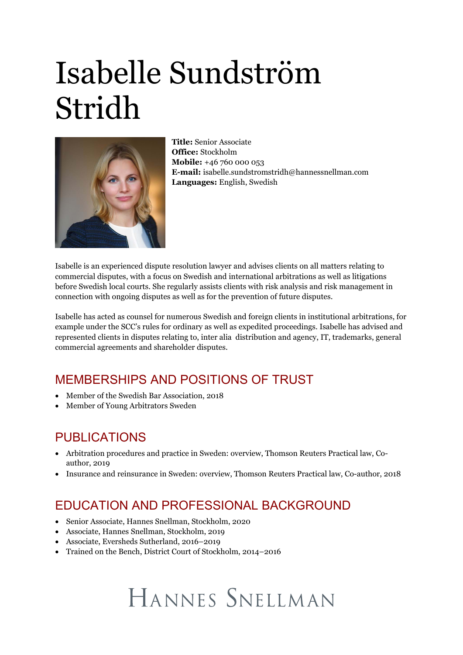# Isabelle Sundström Stridh



**Title:** Senior Associate **Office:** Stockholm **Mobile:** +46 760 000 053 **E-mail:** isabelle.sundstromstridh@hannessnellman.com **Languages:** English, Swedish

Isabelle is an experienced dispute resolution lawyer and advises clients on all matters relating to commercial disputes, with a focus on Swedish and international arbitrations as well as litigations before Swedish local courts. She regularly assists clients with risk analysis and risk management in connection with ongoing disputes as well as for the prevention of future disputes.

Isabelle has acted as counsel for numerous Swedish and foreign clients in institutional arbitrations, for example under the SCC's rules for ordinary as well as expedited proceedings. Isabelle has advised and represented clients in disputes relating to, inter alia distribution and agency, IT, trademarks, general commercial agreements and shareholder disputes.

#### MEMBERSHIPS AND POSITIONS OF TRUST

- · Member of the Swedish Bar Association, 2018
- · Member of Young Arbitrators Sweden

#### PUBLICATIONS

- · Arbitration procedures and practice in Sweden: overview, Thomson Reuters Practical law, Coauthor, 2019
- · Insurance and reinsurance in Sweden: overview, Thomson Reuters Practical law, Co-author, 2018

#### EDUCATION AND PROFESSIONAL BACKGROUND

- · Senior Associate, Hannes Snellman, Stockholm, 2020
- · Associate, Hannes Snellman, Stockholm, 2019
- · Associate, Eversheds Sutherland, 2016–2019
- · Trained on the Bench, District Court of Stockholm, 2014–2016

## HANNES SNELLMAN